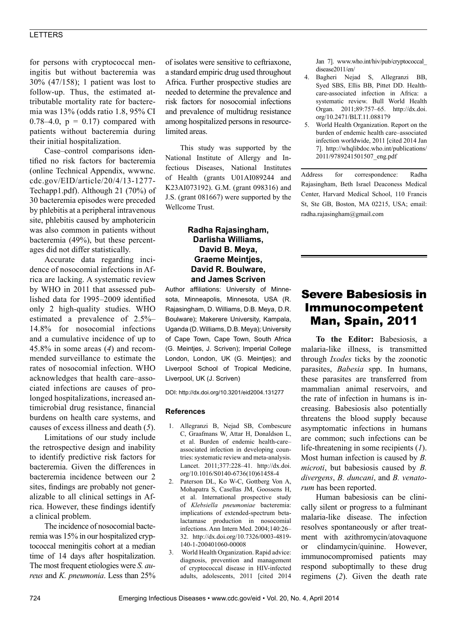# LETTERS

for persons with cryptococcal meningitis but without bacteremia was 30% (47/158); 1 patient was lost to follow-up. Thus, the estimated attributable mortality rate for bacteremia was 13% (odds ratio 1.8, 95% CI 0.78–4.0,  $p = 0.17$ ) compared with patients without bacteremia during their initial hospitalization.

Case–control comparisons identified no risk factors for bacteremia (online Technical Appendix, wwwnc. cdc.gov/EID/article/20/4/13-1277- Techapp1.pdf). Although 21 (70%) of 30 bacteremia episodes were preceded by phlebitis at a peripheral intravenous site, phlebitis caused by amphotericin was also common in patients without bacteremia (49%), but these percentages did not differ statistically.

Accurate data regarding incidence of nosocomial infections in Africa are lacking. A systematic review by WHO in 2011 that assessed published data for 1995–2009 identified only 2 high-quality studies. WHO estimated a prevalence of 2.5%– 14.8% for nosocomial infections and a cumulative incidence of up to 45.8% in some areas (*4*) and recommended surveillance to estimate the rates of nosocomial infection. WHO acknowledges that health care–associated infections are causes of prolonged hospitalizations, increased antimicrobial drug resistance, financial burdens on health care systems, and causes of excess illness and death (*5*).

Limitations of our study include the retrospective design and inability to identify predictive risk factors for bacteremia. Given the differences in bacteremia incidence between our 2 sites, findings are probably not generalizable to all clinical settings in Africa. However, these findings identify a clinical problem.

The incidence of nosocomial bacteremia was 15% in our hospitalized cryptococcal meningitis cohort at a median time of 14 days after hospitalization. The most frequent etiologies were *S. aureus* and *K. pneumonia*. Less than 25% of isolates were sensitive to ceftriaxone, a standard empiric drug used throughout Africa. Further prospective studies are needed to determine the prevalence and risk factors for nosocomial infections and prevalence of multidrug resistance among hospitalized persons in resourcelimited areas.

This study was supported by the National Institute of Allergy and Infectious Diseases, National Institutes of Health (grants U01AI089244 and K23AI073192). G.M. (grant 098316) and J.S. (grant 081667) were supported by the Wellcome Trust.

## **Radha Rajasingham, Darlisha Williams, David B. Meya, Graeme Meintjes, David R. Boulware, and James Scriven**

Author affiliations: University of Minnesota, Minneapolis, Minnesota, USA (R. Rajasingham, D. Williams, D.B. Meya, D.R. Boulware); Makerere University, Kampala, Uganda (D. Williams, D.B. Meya); University of Cape Town, Cape Town, South Africa (G. Meintjes, J. Scriven); Imperial College London, London, UK (G. Meintjes); and Liverpool School of Tropical Medicine, Liverpool, UK (J. Scriven)

DOI: http://dx.doi.org/10.3201/eid2004.131277

#### **References**

- 1. Allegranzi B, Nejad SB, Combescure C, Graafmans W, Attar H, Donaldson L, et al. Burden of endemic health-care– associated infection in developing countries: systematic review and meta-analysis. Lancet. 2011;377:228–41. http://dx.doi. org/10.1016/S0140-6736(10)61458-4
- 2. Paterson DL, Ko W-C, Gottberg Von A, Mohapatra S, Casellas JM, Goossens H, et al. International prospective study of *Klebsiella pneumoniae* bacteremia: implications of extended-spectrum betalactamase production in nosocomial infections. Ann Intern Med. 2004;140:26– 32. http://dx.doi.org/10.7326/0003-4819- 140-1-200401060-00008
- 3. World Health Organization. Rapid advice: diagnosis, prevention and management of cryptococcal disease in HIV-infected adults, adolescents, 2011 [cited 2014

Jan 7]. www.who.int/hiv/pub/cryptococcal\_ disease2011/en/

- 4. Bagheri Nejad S, Allegranzi BB, Syed SBS, Ellis BB, Pittet DD. Healthcare-associated infection in Africa: a systematic review. Bull World Health Organ. 2011;89:757–65. http://dx.doi. org/10.2471/BLT.11.088179
- 5. World Health Organization. Report on the burden of endemic health care–associated infection worldwide, 2011 [cited 2014 Jan 7]. http://whqlibdoc.who.int/publications/ 2011/9789241501507\_eng.pdf

Address for correspondence: Radha Rajasingham, Beth Israel Deaconess Medical Center, Harvard Medical School, 110 Francis St, Ste GB, Boston, MA 02215, USA; email: radha.rajasingham@gmail.com

# Severe Babesiosis in Immunocompetent Man, Spain, 2011

**To the Editor:** Babesiosis, a malaria-like illness, is transmitted through *Ixodes* ticks by the zoonotic parasites, *Babesia* spp. In humans, these parasites are transferred from mammalian animal reservoirs, and the rate of infection in humans is increasing. Babesiosis also potentially threatens the blood supply because asymptomatic infections in humans are common; such infections can be life-threatening in some recipients (*1*). Most human infection is caused by *B. microti*, but babesiosis caused by *B. divergens*, *B. duncani*, and *B. venatorum* has been reported.

Human babesiosis can be clinically silent or progress to a fulminant malaria-like disease. The infection resolves spontaneously or after treatment with azithromycin/atovaquone or clindamycin/quinine. However, immunocompromised patients may respond suboptimally to these drug regimens (*2*). Given the death rate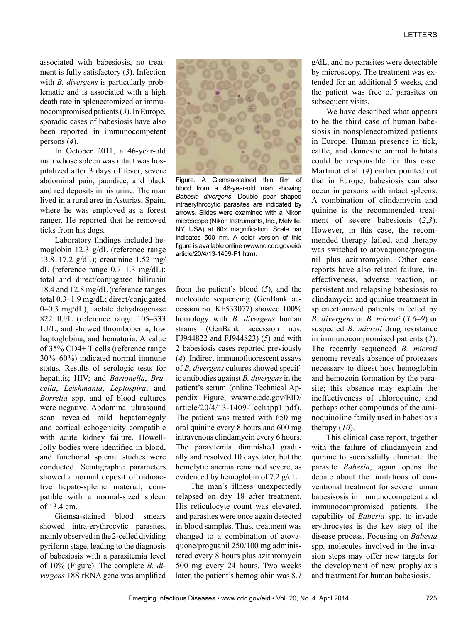## LETTERS

associated with babesiosis, no treatment is fully satisfactory (*3*). Infection with *B. divergens* is particularly problematic and is associated with a high death rate in splenectomized or immunocompromised patients (*3*). In Europe, sporadic cases of babesiosis have also been reported in immunocompetent persons (*4*).

In October 2011, a 46-year-old man whose spleen was intact was hospitalized after 3 days of fever, severe abdominal pain, jaundice, and black and red deposits in his urine. The man lived in a rural area in Asturias, Spain, where he was employed as a forest ranger. He reported that he removed ticks from his dogs.

Laboratory findings included hemoglobin 12.3 g/dL (reference range 13.8–17.2 g/dL); creatinine 1.52 mg/ dL (reference range 0.7–1.3 mg/dL); total and direct/conjugated bilirubin 18.4 and 12.8 mg/dL (reference ranges total 0.3–1.9 mg/dL; direct/conjugated 0–0.3 mg/dL), lactate dehydrogenase 822 IU/L (reference range 105–333 IU/L; and showed thrombopenia, low haptoglobina, and hematuria. A value of 35% CD4+ T cells (reference range 30%–60%) indicated normal immune status. Results of serologic tests for hepatitis; HIV; and *Bartonella*, *Brucella*, *Leishmania*, *Leptospira*, and *Borrelia* spp. and of blood cultures were negative. Abdominal ultrasound scan revealed mild hepatomegaly and cortical echogenicity compatible with acute kidney failure. Howell-Jolly bodies were identified in blood, and functional splenic studies were conducted. Scintigraphic parameters showed a normal deposit of radioactive hepato-splenic material, compatible with a normal-sized spleen of 13.4 cm.

Giemsa-stained blood smears showed intra-erythrocytic parasites, mainly observed in the 2-celled dividing pyriform stage, leading to the diagnosis of babesiosis with a parasitemia level of 10% (Figure). The complete *B. divergens* 18S rRNA gene was amplified



Figure. A Giemsa-stained thin film of blood from a 46-year-old man showing *Babesia divergens*. Double pear shaped intraerythrocytic parasites are indicated by arrows. Slides were examined with a Nikon microscope (Nikon Instruments, Inc., Melville, NY, USA) at 60x magnification. Scale bar indicates 500 nm. A color version of this figure is available online (wwwnc.cdc.gov/eid/ article/20/4/13-1409-F1 htm).

from the patient's blood (*5*), and the nucleotide sequencing (GenBank accession no. KF533077) showed 100% homology with *B. divergens* human strains (GenBank accession nos. FJ944822 and FJ944823) (*5*) and with 2 babesiosis cases reported previously (*4*). Indirect immunofluorescent assays of *B. divergens* cultures showed specific antibodies against *B. divergens* in the patient's serum (online Technical Appendix Figure, wwwnc.cdc.gov/EID/ article/20/4/13-1409-Techapp1.pdf). The patient was treated with 650 mg oral quinine every 8 hours and 600 mg intravenous clindamycin every 6 hours. The parasitemia diminished gradually and resolved 10 days later, but the hemolytic anemia remained severe, as evidenced by hemoglobin of 7.2 g/dL.

The man's illness unexpectedly relapsed on day 18 after treatment. His reticulocyte count was elevated, and parasites were once again detected in blood samples. Thus, treatment was changed to a combination of atovaquone/proguanil 250/100 mg administered every 8 hours plus azithromycin 500 mg every 24 hours. Two weeks later, the patient's hemoglobin was 8.7

g/dL, and no parasites were detectable by microscopy. The treatment was extended for an additional 5 weeks, and the patient was free of parasites on subsequent visits.

We have described what appears to be the third case of human babesiosis in nonsplenectomized patients in Europe. Human presence in tick, cattle, and domestic animal habitats could be responsible for this case. Martinot et al. (*4*) earlier pointed out that in Europe, babesiosis can also occur in persons with intact spleens. A combination of clindamycin and quinine is the recommended treatment of severe babesiosis (*2*,*3*). However, in this case, the recommended therapy failed, and therapy was switched to atovaquone/proguanil plus azithromycin. Other case reports have also related failure, ineffectiveness, adverse reaction, or persistent and relapsing babesiosis to clindamycin and quinine treatment in splenectomized patients infected by *B. divergens* or *B. microti* (*3,6–9*) or suspected *B. microti* drug resistance in immunocompromised patients (*2*). The recently sequenced *B. microti* genome reveals absence of proteases necessary to digest host hemoglobin and hemozoin formation by the parasite; this absence may explain the ineffectiveness of chloroquine, and perhaps other compounds of the aminoquinoline family used in babesiosis therapy (*10*).

This clinical case report, together with the failure of clindamycin and quinine to successfully eliminate the parasite *Babesia*, again opens the debate about the limitations of conventional treatment for severe human babesisosis in immunocompetent and immunocompromised patients. The capability of *Babesia* spp. to invade erythrocytes is the key step of the disease process. Focusing on *Babesia* spp. molecules involved in the invasion steps may offer new targets for the development of new prophylaxis and treatment for human babesiosis.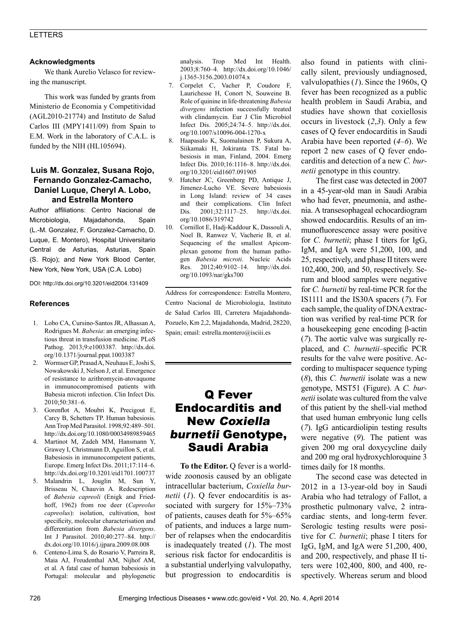## LETTERS

#### **Acknowledgments**

We thank Aurelio Velasco for reviewing the manuscript.

This work was funded by grants from Ministerio de Economia y Competitividad (AGL2010-21774) and Instituto de Salud Carlos III (MPY1411/09) from Spain to E.M. Work in the laboratory of C.A.L. is funded by the NIH (HL105694).

## **Luis M. Gonzalez, Susana Rojo, Fernando Gonzalez-Camacho, Daniel Luque, Cheryl A. Lobo, and Estrella Montero**

Author affiliations: Centro Nacional de Microbiologia, Majadahonda, Spain (L.-M. Gonzalez, F. Gonzalez-Camacho, D. Luque, E. Montero), Hospital Universitario Central de Asturias, Asturias, Spain (S. Rojo); and New York Blood Center, New York, New York, USA (C.A. Lobo)

DOI: http://dx.doi.org/10.3201/eid2004.131409

#### **References**

- 1. Lobo CA, Cursino-Santos JR, Alhassan A, Rodrigues M. *Babesia*: an emerging infectious threat in transfusion medicine. PLoS Pathog. 2013;9:e1003387. http://dx.doi. org/10.1371/journal.ppat.1003387
- 2. Wormser GP, Prasad A, Neuhaus E, Joshi S, Nowakowski J, Nelson J, et al. Emergence of resistance to azithromycin-atovaquone in immunocompromised patients with Babesia microti infection. Clin Infect Dis. 2010;50:381–6.
- 3. Gorenflot A, Moubri K, Precigout E, Carcy B, Schetters TP. Human babesiosis. Ann Trop Med Parasitol. 1998;92:489–501. http://dx.doi.org/10.1080/00034989859465
- 4. Martinot M, Zadeh MM, Hansmann Y, Grawey I, Christmann D, Aguillon S, et al. Babesiosis in immunocompetent patients, Europe. Emerg Infect Dis. 2011;17:114–6. http://dx.doi.org/10.3201/eid1701.100737
- 5. Malandrin L, Jouglin M, Sun Y, Brisseau N, Chauvin A. Redescription of *Babesia capreoli* (Enigk and Friedhoff, 1962) from roe deer (*Capreolus capreolus*): isolation, cultivation, host specificity, molecular characterisation and differentiation from *Babesia divergens*. Int J Parasitol. 2010;40:277–84. http:// dx.doi.org/10.1016/j.ijpara.2009.08.008
- 6. Centeno-Lima S, do Rosario V, Parreira R, Maia AJ, Freudenthal AM, Nijhof AM, et al. A fatal case of human babesiosis in Portugal: molecular and phylogenetic

analysis. Trop Med Int Health. 2003;8:760–4. http://dx.doi.org/10.1046/ j.1365-3156.2003.01074.x

- 7. Corpelet C, Vacher P, Coudore F, Laurichesse H, Conort N, Souweine B. Role of quinine in life-threatening *Babesia divergens* infection successfully treated with clindamycin. Eur J Clin Microbiol Infect Dis. 2005;24:74–5. http://dx.doi. org/10.1007/s10096-004-1270-x
- 8. Haapasalo K, Suomalainen P, Sukura A, Siikamaki H, Jokiranta TS. Fatal babesiosis in man, Finland, 2004. Emerg Infect Dis. 2010;16:1116–8. http://dx.doi. org/10.3201/eid1607.091905
- Hatcher JC, Greenberg PD, Antique J, Jimenez-Lucho VE. Severe babesiosis in Long Island: review of 34 cases and their complications. Clin Infect Dis. 2001;32:1117–25. http://dx.doi. org/10.1086/319742
- 10. Cornillot E, Hadj-Kaddour K, Dassouli A, Noel B, Ranwez V, Vacherie B, et al. Sequencing of the smallest Apicomplexan genome from the human pathogen *Babesia microti*. Nucleic Acids Res. 2012;40:9102–14. http://dx.doi. org/10.1093/nar/gks700

Address for correspondence: Estrella Montero, Centro Nacional de Microbiologia, Instituto de Salud Carlos III, Carretera Majadahonda-Pozuelo, Km 2,2, Majadahonda, Madrid, 28220, Spain; email: estrella.montero@isciii.es

# Q Fever Endocarditis and New Coxiella burnetii Genotype, Saudi Arabia

**To the Editor.** Q fever is a worldwide zoonosis caused by an obligate intracellular bacterium, *Coxiella burnetii* (*1*). Q fever endocarditis is associated with surgery for 15%–73% of patients, causes death for 5%–65% of patients, and induces a large number of relapses when the endocarditis is inadequately treated (*1*). The most serious risk factor for endocarditis is a substantial underlying valvulopathy, but progression to endocarditis is

also found in patients with clinically silent, previously undiagnosed, valvulopathies (*1*). Since the 1960s, Q fever has been recognized as a public health problem in Saudi Arabia, and studies have shown that coxiellosis occurs in livestock (*2*,*3*). Only a few cases of Q fever endocarditis in Saudi Arabia have been reported (*4*–*6*). We report 2 new cases of Q fever endocarditis and detection of a new *C. burnetii* genotype in this country.

The first case was detected in 2007 in a 45-year-old man in Saudi Arabia who had fever, pneumonia, and asthenia. A transesophageal echocardiogram showed endocarditis. Results of an immunofluorescence assay were positive for *C. burnetii*; phase I titers for IgG, IgM, and IgA were 51,200, 100, and 25, respectively, and phase II titers were 102,400, 200, and 50, respectively. Serum and blood samples were negative for *C. burnetii* by real-time PCR for the IS1111 and the IS30A spacers (*7*). For each sample, the quality of DNA extraction was verified by real-time PCR for a housekeeping gene encoding β-actin (*7*). The aortic valve was surgically replaced, and *C. burnetii*–specific PCR results for the valve were positive. According to multispacer sequence typing (*8*), this *C. burnetii* isolate was a new genotype, MST51 (Figure). A *C. burnetii* isolate was cultured from the valve of this patient by the shell-vial method that used human embryonic lung cells (*7*). IgG anticardiolipin testing results were negative (*9*). The patient was given 200 mg oral doxycycline daily and 200 mg oral hydroxychloroquine 3 times daily for 18 months.

The second case was detected in 2012 in a 13-year-old boy in Saudi Arabia who had tetralogy of Fallot, a prosthetic pulmonary valve, 2 intracardiac stents, and long-term fever. Serologic testing results were positive for *C. burnetii*; phase I titers for IgG, IgM, and IgA were 51,200, 400, and 200, respectively, and phase II titers were 102,400, 800, and 400, respectively. Whereas serum and blood